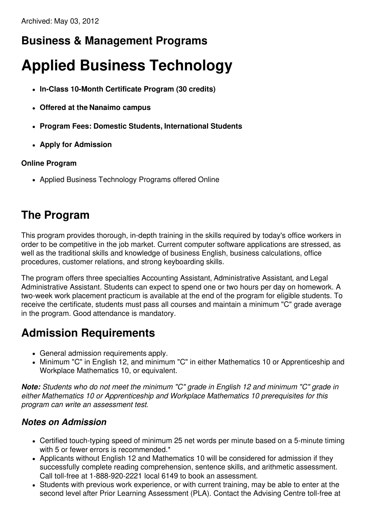## **Business & Management Programs**

# **Applied Business Technology**

- **In-Class 10-Month Certificate Program (30 credits)**
- **Offered at the Nanaimo campus**
- **Program Fees: Domestic Students, International Students**
- **Apply for Admission**

#### **Online Program**

• Applied Business Technology Programs offered Online

# **The Program**

This program provides thorough, in-depth training in the skills required by today's office workers in order to be competitive in the job market. Current computer software applications are stressed, as well as the traditional skills and knowledge of business English, business calculations, office procedures, customer relations, and strong keyboarding skills.

The program offers three specialties Accounting Assistant, Administrative Assistant, and Legal Administrative Assistant. Students can expect to spend one or two hours per day on homework. A two-week work placement practicum is available at the end of the program for eligible students. To receive the certificate, students must pass all courses and maintain a minimum "C" grade average in the program. Good attendance is mandatory.

### **Admission Requirements**

- General admission requirements apply.
- Minimum "C" in English 12, and minimum "C" in either Mathematics 10 or Apprenticeship and Workplace Mathematics 10, or equivalent.

*Note: Students who do not meet the minimum "C" grade in English 12 and minimum "C" grade in either Mathematics 10 or Apprenticeship and Workplace Mathematics 10 prerequisites for this program can write an assessment test.*

#### *Notes on Admission*

- Certified touch-typing speed of minimum 25 net words per minute based on a 5-minute timing with 5 or fewer errors is recommended.\*
- Applicants without English 12 and Mathematics 10 will be considered for admission if they successfully complete reading comprehension, sentence skills, and arithmetic assessment. Call toll-free at 1-888-920-2221 local 6149 to book an assessment.
- Students with previous work experience, or with current training, may be able to enter at the second level after Prior Learning Assessment (PLA). Contact the Advising Centre toll-free at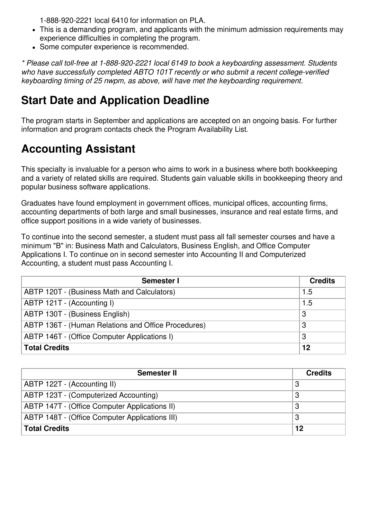1-888-920-2221 local 6410 for information on PLA.

- This is a demanding program, and applicants with the minimum admission requirements may experience difficulties in completing the program.
- Some computer experience is recommended.

*\* Please call toll-free at 1-888-920-2221 local 6149 to book a keyboarding assessment. Students who have successfully completed ABTO 101T recently or who submit a recent college-verified keyboarding timing of 25 nwpm, as above, will have met the keyboarding requirement.*

### **Start Date and Application Deadline**

The program starts in September and applications are accepted on an ongoing basis. For further information and program contacts check the Program Availability List.

## **Accounting Assistant**

This specialty is invaluable for a person who aims to work in a business where both bookkeeping and a variety of related skills are required. Students gain valuable skills in bookkeeping theory and popular business software applications.

Graduates have found employment in government offices, municipal offices, accounting firms, accounting departments of both large and small businesses, insurance and real estate firms, and office support positions in a wide variety of businesses.

To continue into the second semester, a student must pass all fall semester courses and have a minimum "B" in: Business Math and Calculators, Business English, and Office Computer Applications I. To continue on in second semester into Accounting II and Computerized Accounting, a student must pass Accounting I.

| Semester I                                          | <b>Credits</b> |
|-----------------------------------------------------|----------------|
| ABTP 120T - (Business Math and Calculators)         | 1.5            |
| ABTP 121T - (Accounting I)                          | 1.5            |
| ABTP 130T - (Business English)                      | 3              |
| ABTP 136T - (Human Relations and Office Procedures) | 3              |
| ABTP 146T - (Office Computer Applications I)        | 3              |
| Total Credits                                       | 12             |

| <b>Semester II</b>                                   | <b>Credits</b> |
|------------------------------------------------------|----------------|
| ABTP 122T - (Accounting II)                          |                |
| ABTP 123T - (Computerized Accounting)                |                |
| <b>ABTP 147T - (Office Computer Applications II)</b> |                |
| ABTP 148T - (Office Computer Applications III)       | 3              |
| <b>Total Credits</b>                                 | 12             |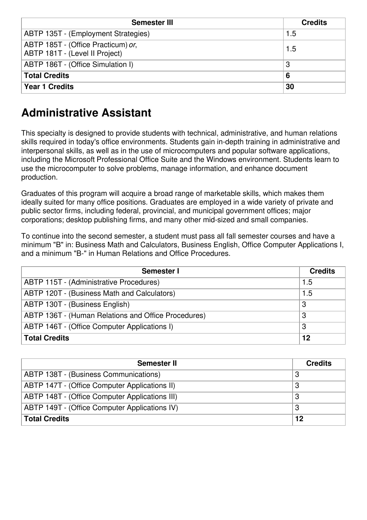| <b>Semester III</b>                                                  | <b>Credits</b> |
|----------------------------------------------------------------------|----------------|
| ABTP 135T - (Employment Strategies)                                  | 1.5            |
| ABTP 185T - (Office Practicum) or,<br>ABTP 181T - (Level II Project) | 1.5            |
| ABTP 186T - (Office Simulation I)                                    | 3              |
| <b>Total Credits</b>                                                 | 6              |
| <b>Year 1 Credits</b>                                                | 30             |

### **Administrative Assistant**

This specialty is designed to provide students with technical, administrative, and human relations skills required in today's office environments. Students gain in-depth training in administrative and interpersonal skills, as well as in the use of microcomputers and popular software applications, including the Microsoft Professional Office Suite and the Windows environment. Students learn to use the microcomputer to solve problems, manage information, and enhance document production.

Graduates of this program will acquire a broad range of marketable skills, which makes them ideally suited for many office positions. Graduates are employed in a wide variety of private and public sector firms, including federal, provincial, and municipal government offices; major corporations; desktop publishing firms, and many other mid-sized and small companies.

To continue into the second semester, a student must pass all fall semester courses and have a minimum "B" in: Business Math and Calculators, Business English, Office Computer Applications I, and a minimum "B-" in Human Relations and Office Procedures.

| Semester I                                          | <b>Credits</b> |
|-----------------------------------------------------|----------------|
| ABTP 115T - (Administrative Procedures)             | 1.5            |
| ABTP 120T - (Business Math and Calculators)         | 1.5            |
| ABTP 130T - (Business English)                      | 3              |
| ABTP 136T - (Human Relations and Office Procedures) | 3              |
| ABTP 146T - (Office Computer Applications I)        | 3              |
| <b>Total Credits</b>                                | 12             |

| <b>Semester II</b>                                   | <b>Credits</b> |
|------------------------------------------------------|----------------|
| ABTP 138T - (Business Communications)                |                |
| <b>ABTP 147T - (Office Computer Applications II)</b> |                |
| ABTP 148T - (Office Computer Applications III)       |                |
| ABTP 149T - (Office Computer Applications IV)        | 3              |
| <b>Total Credits</b>                                 | 12             |